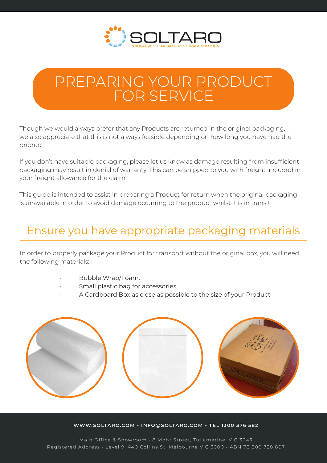

# PREPARING YOUR PRODUCT FOR SERVICE

Though we would always prefer that any Products are returned in the original packaging, we also appreciate that this is not always feasible depending on how long you have had the product.

If you don't have suitable packaging, please let us know as damage resulting from insufficient packaging may result in denial of warranty. This can be shipped to you with freight included in your freight allowance for the claim.

This guide is intended to assist in preparing a Product for return when the original packaging is unavailable in order to avoid damage occurring to the product whilst it is in transit.

### Ensure you have appropriate packaging materials

In order to properly package your Product for transport without the original box, you will need the following materials:

- Bubble Wrap/Foam.
- Small plastic bag for accessories
- A Cardboard Box as close as possible to the size of your Product



### **WWW.SOLTARO.COM - INFO@SOLTARO.COM - TEL 1300 376 582**

Main Office & Showroom - 8 Mohr Street, Tullamarine, VIC 3043 Registered Address - Level 9, 440 Collins St, Melbourne VIC 3000 - ABN 78 800 728 807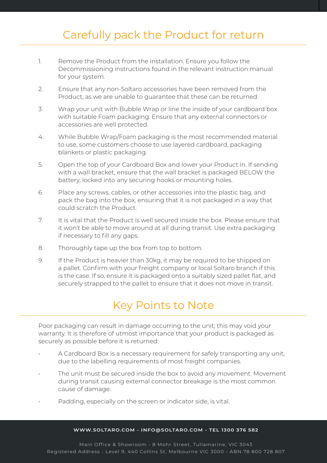- 1. Remove the Product from the installation. Ensure you follow the Decommissioning instructions found in the relevant instruction manual for your system.
- 2. Ensure that any non-Soltaro accessories have been removed from the Product, as we are unable to guarantee that these can be returned.
- 3. Wrap your unit with Bubble Wrap or line the inside of your cardboard box with suitable Foam packaging. Ensure that any external connectors or accessories are well protected.
- 4. While Bubble Wrap/Foam packaging is the most recommended material to use, some customers choose to use layered cardboard, packaging blankets or plastic packaging.
- 5. Open the top of your Cardboard Box and lower your Product in. If sending with a wall bracket, ensure that the wall bracket is packaged BELOW the battery, locked into any securing hooks or mounting holes.
- 6. Place any screws, cables, or other accessories into the plastic bag, and pack the bag into the box, ensuring that it is not packaged in a way that could scratch the Product.
- 7. It is vital that the Product is well secured inside the box. Please ensure that it won't be able to move around at all during transit. Use extra packaging if necessary to fill any gaps.
- 8. Thoroughly tape up the box from top to bottom.
- 9. If the Product is heavier than 30kg, it may be required to be shipped on a pallet. Confirm with your freight company or local Soltaro branch if this is the case. If so, ensure it is packaged onto a suitably sized pallet flat, and securely strapped to the pallet to ensure that it does not move in transit.

### Key Points to Note

Poor packaging can result in damage occurring to the unit; this may void your warranty. It is therefore of utmost importance that your product is packaged as securely as possible before it is returned:

- A Cardboard Box is a necessary requirement for safely transporting any unit, due to the labelling requirements of most freight companies.
- The unit must be secured inside the box to avoid any movement. Movement during transit causing external connector breakage is the most common cause of damage.
- Padding, especially on the screen or indicator side, is vital.

### **WWW.SOLTARO.COM - INFO@SOLTARO.COM - TEL 1300 376 582**